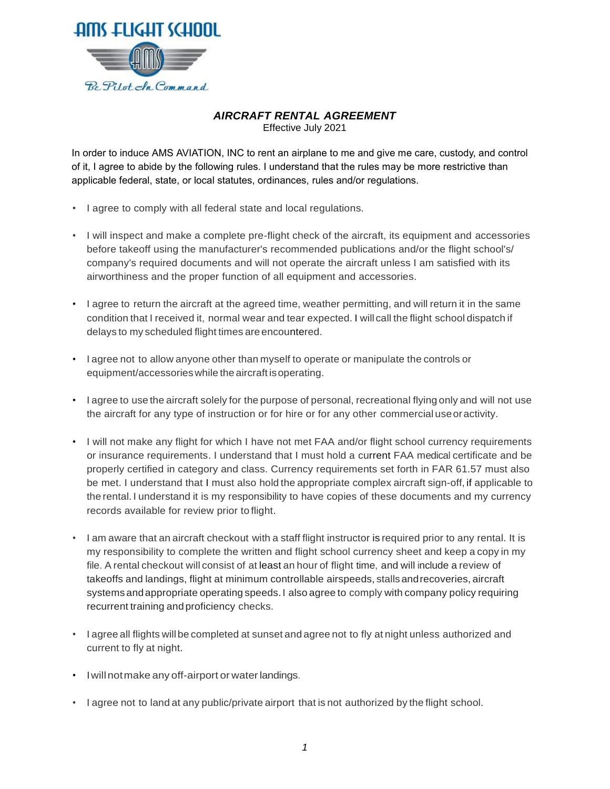

## *AIRCRAFT RENTAL AGREEMENT*

Effective July 2021

In order to induce AMS AVIATION, INC to rent an airplane to me and give me care, custody, and control of it, I agree to abide by the following rules. I understand that the rules may be more restrictive than applicable federal, state, or local statutes, ordinances, rules and/or regulations.

- I agree to comply with all federal state and local regulations.
- I will inspect and make a complete pre-flight check of the aircraft, its equipment and accessories before takeoff using the manufacturer's recommended publications and/or the flight school's/ company's required documents and will not operate the aircraft unless I am satisfied with its airworthiness and the proper function of all equipment and accessories.
- I agree to return the aircraft at the agreed time, weather permitting, and will return it in the same condition that I received it, normal wear and tear expected. I will call the flight school dispatch if delays to my scheduled flight times are encountered.
- I agree not to allow anyone other than myself to operate or manipulate the controls or equipment/accessorieswhile the aircraft isoperating.
- I agree to use the aircraft solely for the purpose of personal, recreational flying only and will not use the aircraft for any type of instruction or for hire or for any other commercial useoractivity.
- I will not make any flight for which I have not met FAA and/or flight school currency requirements or insurance requirements. I understand that I must hold a current FAA medical certificate and be properly certified in category and class. Currency requirements set forth in FAR 61.57 must also be met. I understand that I must also hold the appropriate complex aircraft sign-off, if applicable to the rental. I understand it is my responsibility to have copies of these documents and my currency records available for review prior to flight.
- I am aware that an aircraft checkout with a staff flight instructor is required prior to any rental. It is my responsibility to complete the written and flight school currency sheet and keep a copy in my file. A rental checkout will consist of at least an hour of flight time, and will include a review of takeoffs and landings, flight at minimum controllable airspeeds, stallsandrecoveries, aircraft systems andappropriate operating speeds.I also agree to comply with company policy requiring recurrent training andproficiency checks.
- I agree all flights willbe completed at sunset and agree not to fly at night unless authorized and current to fly at night.
- I will not make any off-airport or water landings.
- I agree not to land at any public/private airport that is not authorized by the flight school.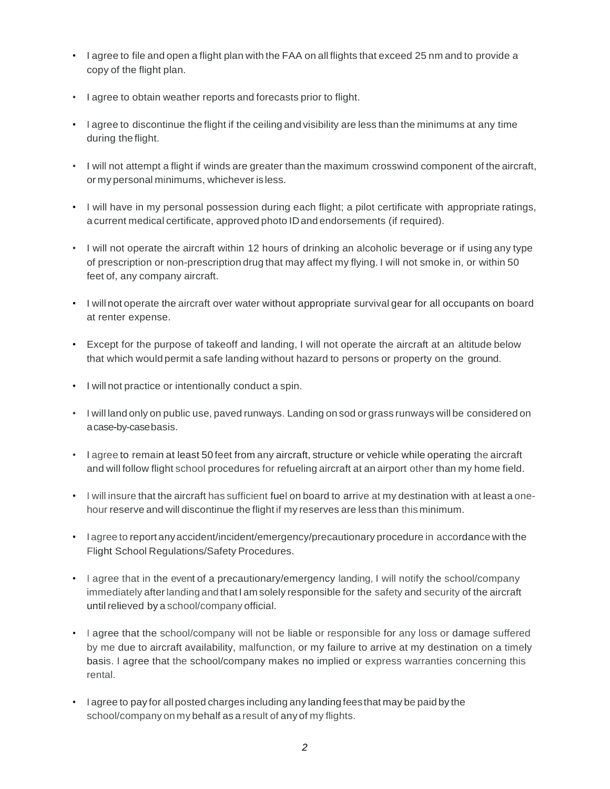- I agree to file and open a flight plan with the FAA on all flights that exceed 25 nm and to provide a copy of the flight plan.
- I agree to obtain weather reports and forecasts prior to flight.
- I agree to discontinue the flight if the ceiling and visibility are less than the minimums at any time during the flight.
- I will not attempt a flight if winds are greater than the maximum crosswind component of the aircraft, or my personal minimums, whichever is less.
- I will have in my personal possession during each flight; a pilot certificate with appropriate ratings, a current medical certificate, approved photo IDand endorsements (if required).
- I will not operate the aircraft within 12 hours of drinking an alcoholic beverage or if using any type of prescription or non-prescription drug that may affect my flying. I will not smoke in, or within 50 feet of, any company aircraft.
- I will not operate the aircraft over water without appropriate survival gear for all occupants on board at renter expense.
- Except for the purpose of takeoff and landing, I will not operate the aircraft at an altitude below that which would permit a safe landing without hazard to persons or property on the ground.
- I will not practice or intentionally conduct a spin.
- I will land only on public use, paved runways. Landing on sod or grass runways will be considered on acase-by-casebasis.
- I agree to remain at least 50 feet from any aircraft, structure or vehicle while operating the aircraft and will follow flight school procedures for refueling aircraft at an airport other than my home field.
- I will insure that the aircraft has sufficient fuel on board to arrive at my destination with at least a onehour reserve and will discontinue the flight if my reserves are less than this minimum.
- Iagree to report anyaccident/incident/emergency/precautionary procedure in accordance with the Flight School Regulations/Safety Procedures.
- I agree that in the event of a precautionary/emergency landing, I will notify the school/company immediately after landing and that I am solely responsible for the safety and security of the aircraft until relieved by a school/company official.
- I agree that the school/company will not be liable or responsible for any loss or damage suffered by me due to aircraft availability, malfunction, or my failure to arrive at my destination on a timely basis. I agree that the school/company makes no implied or express warranties concerning this rental.
- I agree to pay for allposted charges including any landing feesthat may be paid by the school/company on my behalf as a result of any of my flights.